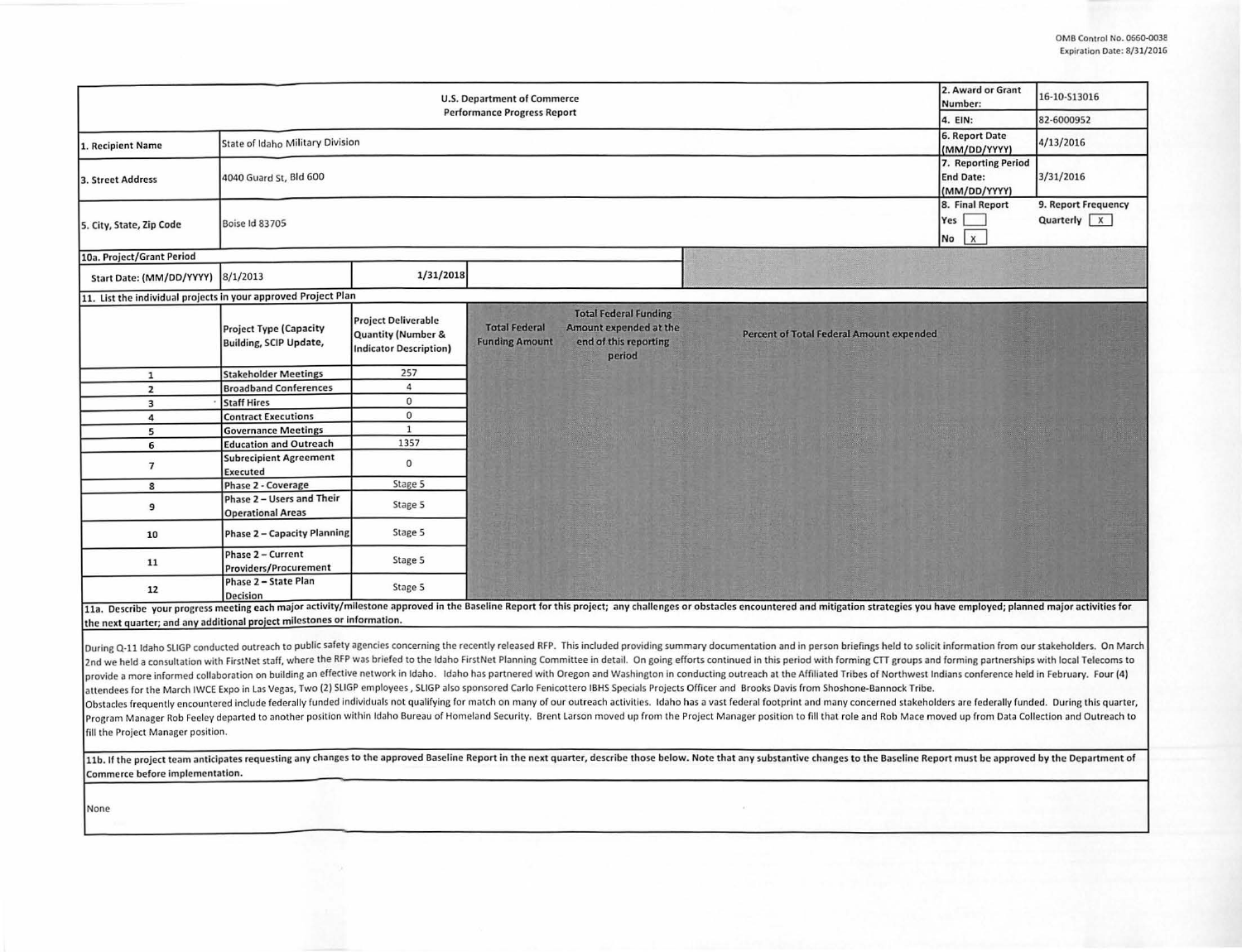| <b>U.S. Department of Commerce</b>                                                                                                                                                                                                                                                                                                                                                                                                                                                                                                                                                                                                                                                                                                                                                                                                                                                                                                                                                                                                                                                                                                                                                                                                                                                                                                                                                                                                                                                                                                                                                                                                                                               |                                                                |                                                                                              |                                                                                                                                            |                                          | 2. Award or Grant<br>Number:                 | 16-10-S13016                                    |  |  |
|----------------------------------------------------------------------------------------------------------------------------------------------------------------------------------------------------------------------------------------------------------------------------------------------------------------------------------------------------------------------------------------------------------------------------------------------------------------------------------------------------------------------------------------------------------------------------------------------------------------------------------------------------------------------------------------------------------------------------------------------------------------------------------------------------------------------------------------------------------------------------------------------------------------------------------------------------------------------------------------------------------------------------------------------------------------------------------------------------------------------------------------------------------------------------------------------------------------------------------------------------------------------------------------------------------------------------------------------------------------------------------------------------------------------------------------------------------------------------------------------------------------------------------------------------------------------------------------------------------------------------------------------------------------------------------|----------------------------------------------------------------|----------------------------------------------------------------------------------------------|--------------------------------------------------------------------------------------------------------------------------------------------|------------------------------------------|----------------------------------------------|-------------------------------------------------|--|--|
| <b>Performance Progress Report</b>                                                                                                                                                                                                                                                                                                                                                                                                                                                                                                                                                                                                                                                                                                                                                                                                                                                                                                                                                                                                                                                                                                                                                                                                                                                                                                                                                                                                                                                                                                                                                                                                                                               |                                                                |                                                                                              |                                                                                                                                            |                                          |                                              | 82-6000952                                      |  |  |
| 1. Recipient Name                                                                                                                                                                                                                                                                                                                                                                                                                                                                                                                                                                                                                                                                                                                                                                                                                                                                                                                                                                                                                                                                                                                                                                                                                                                                                                                                                                                                                                                                                                                                                                                                                                                                | State of Idaho Military Division                               |                                                                                              |                                                                                                                                            |                                          |                                              | 4/13/2016                                       |  |  |
| 3. Street Address                                                                                                                                                                                                                                                                                                                                                                                                                                                                                                                                                                                                                                                                                                                                                                                                                                                                                                                                                                                                                                                                                                                                                                                                                                                                                                                                                                                                                                                                                                                                                                                                                                                                | 4040 Guard St, Bld 600                                         |                                                                                              |                                                                                                                                            |                                          |                                              | 3/31/2016                                       |  |  |
| 5. City, State, Zip Code                                                                                                                                                                                                                                                                                                                                                                                                                                                                                                                                                                                                                                                                                                                                                                                                                                                                                                                                                                                                                                                                                                                                                                                                                                                                                                                                                                                                                                                                                                                                                                                                                                                         | <b>Boise Id 83705</b>                                          |                                                                                              |                                                                                                                                            |                                          | 8. Final Report<br>Yes<br>$\mathbf{x}$<br>No | 9. Report Frequency<br>Quarterly $\overline{X}$ |  |  |
| 10a. Project/Grant Period                                                                                                                                                                                                                                                                                                                                                                                                                                                                                                                                                                                                                                                                                                                                                                                                                                                                                                                                                                                                                                                                                                                                                                                                                                                                                                                                                                                                                                                                                                                                                                                                                                                        |                                                                |                                                                                              |                                                                                                                                            |                                          |                                              |                                                 |  |  |
| Start Date: (MM/DD/YYYY)                                                                                                                                                                                                                                                                                                                                                                                                                                                                                                                                                                                                                                                                                                                                                                                                                                                                                                                                                                                                                                                                                                                                                                                                                                                                                                                                                                                                                                                                                                                                                                                                                                                         | 8/1/2013                                                       | 1/31/2018                                                                                    |                                                                                                                                            |                                          |                                              |                                                 |  |  |
| 11. List the individual projects in your approved Project Plan                                                                                                                                                                                                                                                                                                                                                                                                                                                                                                                                                                                                                                                                                                                                                                                                                                                                                                                                                                                                                                                                                                                                                                                                                                                                                                                                                                                                                                                                                                                                                                                                                   |                                                                |                                                                                              |                                                                                                                                            |                                          |                                              |                                                 |  |  |
|                                                                                                                                                                                                                                                                                                                                                                                                                                                                                                                                                                                                                                                                                                                                                                                                                                                                                                                                                                                                                                                                                                                                                                                                                                                                                                                                                                                                                                                                                                                                                                                                                                                                                  | <b>Project Type (Capacity</b><br><b>Building, SCIP Update,</b> | <b>Project Deliverable</b><br><b>Quantity (Number &amp;</b><br><b>Indicator Description)</b> | <b>Total Federal Funding</b><br><b>Total Federal</b><br>Amount expended at the<br><b>Funding Amount</b><br>end of this reporting<br>period | Percent of Total Federal Amount expended |                                              |                                                 |  |  |
| $\mathbf{1}$                                                                                                                                                                                                                                                                                                                                                                                                                                                                                                                                                                                                                                                                                                                                                                                                                                                                                                                                                                                                                                                                                                                                                                                                                                                                                                                                                                                                                                                                                                                                                                                                                                                                     | <b>Stakeholder Meetings</b>                                    | 257                                                                                          |                                                                                                                                            |                                          |                                              |                                                 |  |  |
| $\overline{2}$                                                                                                                                                                                                                                                                                                                                                                                                                                                                                                                                                                                                                                                                                                                                                                                                                                                                                                                                                                                                                                                                                                                                                                                                                                                                                                                                                                                                                                                                                                                                                                                                                                                                   | <b>Broadband Conferences</b>                                   | $\overline{4}$                                                                               |                                                                                                                                            |                                          |                                              |                                                 |  |  |
| $\overline{\mathbf{3}}$                                                                                                                                                                                                                                                                                                                                                                                                                                                                                                                                                                                                                                                                                                                                                                                                                                                                                                                                                                                                                                                                                                                                                                                                                                                                                                                                                                                                                                                                                                                                                                                                                                                          | <b>Staff Hires</b>                                             | $\mathbf{0}$                                                                                 |                                                                                                                                            |                                          |                                              |                                                 |  |  |
| 4                                                                                                                                                                                                                                                                                                                                                                                                                                                                                                                                                                                                                                                                                                                                                                                                                                                                                                                                                                                                                                                                                                                                                                                                                                                                                                                                                                                                                                                                                                                                                                                                                                                                                | <b>Contract Executions</b>                                     | $\mathbf{0}$                                                                                 |                                                                                                                                            |                                          |                                              |                                                 |  |  |
| 5                                                                                                                                                                                                                                                                                                                                                                                                                                                                                                                                                                                                                                                                                                                                                                                                                                                                                                                                                                                                                                                                                                                                                                                                                                                                                                                                                                                                                                                                                                                                                                                                                                                                                | <b>Governance Meetings</b>                                     | $\mathbf{1}$                                                                                 |                                                                                                                                            |                                          |                                              |                                                 |  |  |
| 6                                                                                                                                                                                                                                                                                                                                                                                                                                                                                                                                                                                                                                                                                                                                                                                                                                                                                                                                                                                                                                                                                                                                                                                                                                                                                                                                                                                                                                                                                                                                                                                                                                                                                | <b>Education and Outreach</b>                                  | 1357                                                                                         |                                                                                                                                            |                                          |                                              |                                                 |  |  |
| $\overline{\mathbf{z}}$                                                                                                                                                                                                                                                                                                                                                                                                                                                                                                                                                                                                                                                                                                                                                                                                                                                                                                                                                                                                                                                                                                                                                                                                                                                                                                                                                                                                                                                                                                                                                                                                                                                          | <b>Subrecipient Agreement</b><br>Executed                      | $\mathbf{0}$                                                                                 |                                                                                                                                            |                                          |                                              |                                                 |  |  |
| 8                                                                                                                                                                                                                                                                                                                                                                                                                                                                                                                                                                                                                                                                                                                                                                                                                                                                                                                                                                                                                                                                                                                                                                                                                                                                                                                                                                                                                                                                                                                                                                                                                                                                                | Phase 2 - Coverage                                             | Stage 5                                                                                      |                                                                                                                                            |                                          |                                              |                                                 |  |  |
| 9                                                                                                                                                                                                                                                                                                                                                                                                                                                                                                                                                                                                                                                                                                                                                                                                                                                                                                                                                                                                                                                                                                                                                                                                                                                                                                                                                                                                                                                                                                                                                                                                                                                                                | Phase 2 - Users and Their<br><b>Operational Areas</b>          | Stage 5                                                                                      |                                                                                                                                            |                                          |                                              |                                                 |  |  |
| 10                                                                                                                                                                                                                                                                                                                                                                                                                                                                                                                                                                                                                                                                                                                                                                                                                                                                                                                                                                                                                                                                                                                                                                                                                                                                                                                                                                                                                                                                                                                                                                                                                                                                               | <b>Phase 2 - Capacity Planning</b>                             | Stage 5                                                                                      |                                                                                                                                            |                                          |                                              |                                                 |  |  |
| 11                                                                                                                                                                                                                                                                                                                                                                                                                                                                                                                                                                                                                                                                                                                                                                                                                                                                                                                                                                                                                                                                                                                                                                                                                                                                                                                                                                                                                                                                                                                                                                                                                                                                               | Phase 2 - Current<br><b>Providers/Procurement</b>              | Stage 5                                                                                      |                                                                                                                                            |                                          |                                              |                                                 |  |  |
| 12                                                                                                                                                                                                                                                                                                                                                                                                                                                                                                                                                                                                                                                                                                                                                                                                                                                                                                                                                                                                                                                                                                                                                                                                                                                                                                                                                                                                                                                                                                                                                                                                                                                                               | Phase 2 - State Plan<br><b>Decision</b>                        | Stage 5                                                                                      |                                                                                                                                            |                                          |                                              |                                                 |  |  |
| 11a. Describe your progress meeting each major activity/milestone approved in the Baseline Report for this project; any challenges or obstacles encountered and mitigation strategies you have employed; planned major activit<br>the next quarter; and any additional project milestones or information.                                                                                                                                                                                                                                                                                                                                                                                                                                                                                                                                                                                                                                                                                                                                                                                                                                                                                                                                                                                                                                                                                                                                                                                                                                                                                                                                                                        |                                                                |                                                                                              |                                                                                                                                            |                                          |                                              |                                                 |  |  |
| During Q-11 Idaho SLIGP conducted outreach to public safety agencies concerning the recently released RFP. This included providing summary documentation and in person briefings held to solicit information from our stakehol<br>2nd we held a consultation with FirstNet staff, where the RFP was briefed to the Idaho FirstNet Planning Committee in detail. On going efforts continued in this period with forming CTT groups and forming partnerships with<br>provide a more informed collaboration on building an effective network in Idaho. Idaho has partnered with Oregon and Washington in conducting outreach at the Affiliated Tribes of Northwest Indians conference held in Februa<br>attendees for the March IWCE Expo in Las Vegas, Two (2) SLIGP employees, SLIGP also sponsored Carlo Fenicottero IBHS Specials Projects Officer and Brooks Davis from Shoshone-Bannock Tribe.<br>Obstacles frequently encountered include federally funded individuals not qualifying for match on many of our outreach activities. Idaho has a vast federal footprint and many concerned stakeholders are federally funded. Du<br>Program Manager Rob Feeley departed to another position within Idaho Bureau of Homeland Security. Brent Larson moved up from the Project Manager position to fill that role and Rob Mace moved up from Data Collection and Out<br>fill the Project Manager position.<br>11b. If the project team anticipates requesting any changes to the approved Baseline Report in the next quarter, describe those below. Note that any substantive changes to the Baseline Report must be approved by the Depart<br>Commerce before implementation. |                                                                |                                                                                              |                                                                                                                                            |                                          |                                              |                                                 |  |  |
| None                                                                                                                                                                                                                                                                                                                                                                                                                                                                                                                                                                                                                                                                                                                                                                                                                                                                                                                                                                                                                                                                                                                                                                                                                                                                                                                                                                                                                                                                                                                                                                                                                                                                             |                                                                |                                                                                              |                                                                                                                                            |                                          |                                              |                                                 |  |  |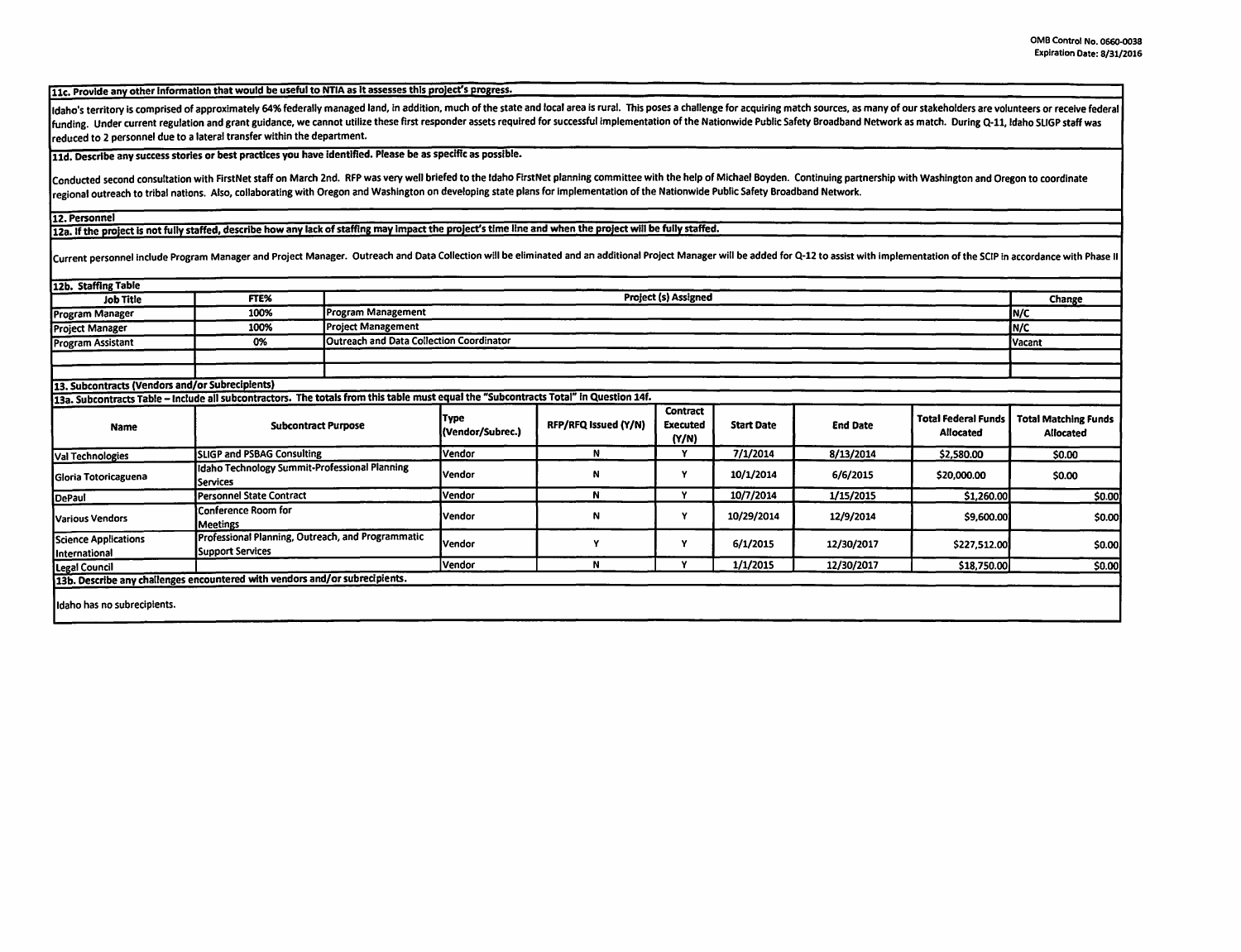11c. Provide any other Information that would be useful to NTIA as It assesses this proJect's progress.

Idaho's territory is comprised of approximately 64% federally managed land, in addition, much of the state and local area is rural. This poses a challenge for acquiring match sources, as many of our stakeholders are volunt funding. Under current regulation and grant guidance, we cannot utilize these first responder assets required for successful implementation of the Nationwide Public Safety Broadband Network as match. During Q-11, Idaho SLI reduced to 2 personnel due to a lateral transfer within the department.

11d. Describe any success stories or best practices you have identified. Please be as specific as possible.

Conducted second consultation with FirstNet staff on March 2nd. RFP was very well briefed to the Idaho FirstNet planning committee with the help of Michael Boyden. Continuing partnership with Washington and Oregon to coord regional outreach to tribal nations. Also, collaborating with Oregon and Washington on developing state plans for implementation of the Nationwide Public Safety Broadband Network.

12. Personnel

12a. If the project is not fully staffed, describe how any lack of staffing may impact the project's time line and when the project will be fully staffed.

Current personnel include Program Manager and Project Manager. Outreach and Data Collection will be eliminated and an additional Project Manager will be added for Q-12 to assist with implementation of the SCIP in accordanc

| 112b. Staffing Table                            |                                                                                                                                       |                                                 |                                 |                      |                                      |                   |                 |                                                |                                          |
|-------------------------------------------------|---------------------------------------------------------------------------------------------------------------------------------------|-------------------------------------------------|---------------------------------|----------------------|--------------------------------------|-------------------|-----------------|------------------------------------------------|------------------------------------------|
| <b>Job Title</b>                                | FTE%                                                                                                                                  | Project (s) Assigned                            |                                 |                      |                                      |                   |                 |                                                | Change                                   |
| Program Manager                                 | 100%                                                                                                                                  | Program Management                              |                                 |                      |                                      |                   |                 |                                                | IN/C                                     |
| <b>Project Manager</b>                          | 100%                                                                                                                                  | <b>Project Management</b>                       |                                 |                      |                                      |                   |                 |                                                | IN/C                                     |
| <b>Program Assistant</b>                        | 0%                                                                                                                                    | <b>Outreach and Data Collection Coordinator</b> |                                 |                      |                                      |                   |                 |                                                | <b>Vacant</b>                            |
|                                                 |                                                                                                                                       |                                                 |                                 |                      |                                      |                   |                 |                                                |                                          |
|                                                 |                                                                                                                                       |                                                 |                                 |                      |                                      |                   |                 |                                                |                                          |
| 13. Subcontracts (Vendors and/or Subrecipients) |                                                                                                                                       |                                                 |                                 |                      |                                      |                   |                 |                                                |                                          |
|                                                 | 13a. Subcontracts Table - Include all subcontractors. The totals from this table must equal the "Subcontracts Total" in Question 14f. |                                                 |                                 |                      |                                      |                   |                 |                                                |                                          |
| Name                                            | <b>Subcontract Purpose</b>                                                                                                            |                                                 | <b>Type</b><br>(Vendor/Subrec.) | RFP/RFQ Issued (Y/N) | Contract<br><b>Executed</b><br>(N/N) | <b>Start Date</b> | <b>End Date</b> | <b>Total Federal Funds</b><br><b>Allocated</b> | <b>Total Matching Funds</b><br>Allocated |
| <b>Val Technologies</b>                         | <b>SLIGP and PSBAG Consulting</b>                                                                                                     |                                                 | Vendor                          | N                    | Y                                    | 7/1/2014          | 8/13/2014       | \$2,580.00                                     | \$0.00                                   |
| Gloria Totoricaguena                            | Idaho Technology Summit-Professional Planning<br><b>Services</b>                                                                      |                                                 | Vendor                          | Ν                    | Y                                    | 10/1/2014         | 6/6/2015        | \$20,000.00                                    | \$0.00                                   |
| DePaul                                          | <b>Personnel State Contract</b>                                                                                                       |                                                 | Vendor                          | N                    | $\mathbf v$                          | 10/7/2014         | 1/15/2015       | \$1,260.00                                     | \$0.00                                   |
| Various Vendors                                 | Conference Room for<br><b>Meetings</b>                                                                                                |                                                 | Vendor                          | N                    |                                      | 10/29/2014        | 12/9/2014       | \$9,600.00                                     | \$0.00                                   |
| Science Applications<br>International           | Professional Planning, Outreach, and Programmatic<br><b>Support Services</b>                                                          |                                                 | Vendor                          |                      | Υ                                    | 6/1/2015          | 12/30/2017      | \$227,512.00                                   | \$0.00                                   |
| Legal Council                                   |                                                                                                                                       |                                                 | <b>Vendor</b>                   | N                    |                                      | 1/1/2015          | 12/30/2017      | \$18,750.00                                    | \$0.00                                   |
|                                                 | 13b. Describe any challenges encountered with vendors and/or subrecipients.                                                           |                                                 |                                 |                      |                                      |                   |                 |                                                |                                          |
|                                                 |                                                                                                                                       |                                                 |                                 |                      |                                      |                   |                 |                                                |                                          |
| Ildaho has no subrecipients.                    |                                                                                                                                       |                                                 |                                 |                      |                                      |                   |                 |                                                |                                          |